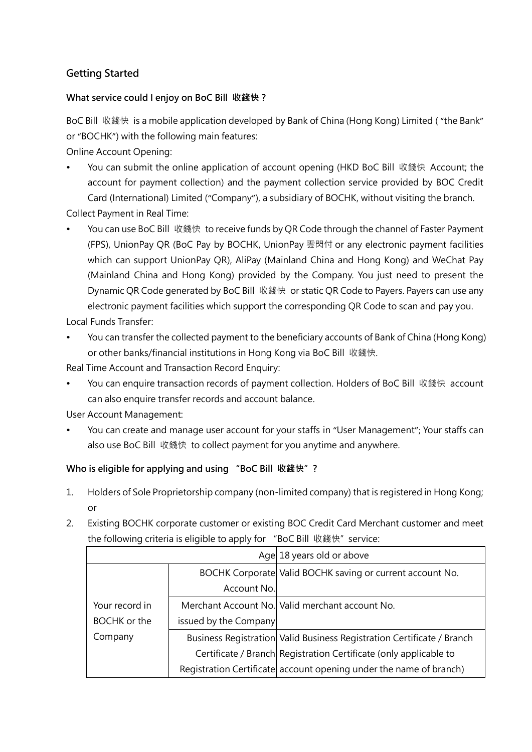# **Getting Started**

### **What service could I enjoy on BoC Bill 收錢快?**

BoC Bill 收錢快 is a mobile application developed by Bank of China (Hong Kong) Limited ( "the Bank" or "BOCHK") with the following main features:

Online Account Opening:

 You can submit the online application of account opening (HKD BoC Bill 收錢快 Account; the account for payment collection) and the payment collection service provided by BOC Credit Card (International) Limited ("Company"), a subsidiary of BOCHK, without visiting the branch.

Collect Payment in Real Time:

 You can use BoC Bill 收錢快 to receive funds by QR Code through the channel of Faster Payment (FPS), UnionPay QR (BoC Pay by BOCHK, UnionPay 雲閃付 or any electronic payment facilities which can support UnionPay QR), AliPay (Mainland China and Hong Kong) and WeChat Pay (Mainland China and Hong Kong) provided by the Company. You just need to present the Dynamic QR Code generated by BoC Bill 收錢快 or static QR Code to Payers. Payers can use any electronic payment facilities which support the corresponding QR Code to scan and pay you.

Local Funds Transfer:

 You can transfer the collected payment to the beneficiary accounts of Bank of China (Hong Kong) or other banks/financial institutions in Hong Kong via BoC Bill 收錢快.

Real Time Account and Transaction Record Enquiry:

You can enquire transaction records of payment collection. Holders of BoC Bill 收錢快 account can also enquire transfer records and account balance.

User Account Management:

 You can create and manage user account for your staffs in "User Management"; Your staffs can also use BoC Bill 收錢快 to collect payment for you anytime and anywhere.

## **Who is eligible for applying and using "BoC Bill 收錢快"?**

- 1. Holders of Sole Proprietorship company (non-limited company) that is registered in Hong Kong; or
- 2. Existing BOCHK corporate customer or existing BOC Credit Card Merchant customer and meet the following criteria is eligible to apply for "BoC Bill 收錢快" service:

|                |                       | Age 18 years old or above                                              |
|----------------|-----------------------|------------------------------------------------------------------------|
|                |                       | BOCHK Corporate Valid BOCHK saving or current account No.              |
|                | Account No.           |                                                                        |
| Your record in |                       | Merchant Account No. Valid merchant account No.                        |
| BOCHK or the   | issued by the Company |                                                                        |
| Company        |                       | Business Registration Valid Business Registration Certificate / Branch |
|                |                       | Certificate / Branch Registration Certificate (only applicable to      |
|                |                       | Registration Certificate account opening under the name of branch)     |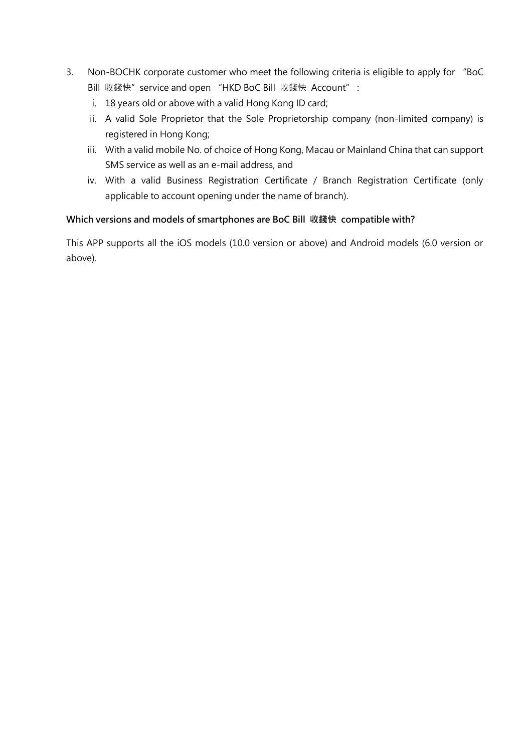- 3. Non-BOCHK corporate customer who meet the following criteria is eligible to apply for "BoC Bill 收錢快" service and open "HKD BoC Bill 收錢快 Account" :
	- i. 18 years old or above with a valid Hong Kong ID card;
	- ii. A valid Sole Proprietor that the Sole Proprietorship company (non-limited company) is registered in Hong Kong;
	- iii. With a valid mobile No. of choice of Hong Kong, Macau or Mainland China that can support SMS service as well as an e-mail address, and
	- iv. With a valid Business Registration Certificate / Branch Registration Certificate (only applicable to account opening under the name of branch).

### **Which versions and models of smartphones are BoC Bill 收錢快 compatible with?**

This APP supports all the iOS models (10.0 version or above) and Android models (6.0 version or above).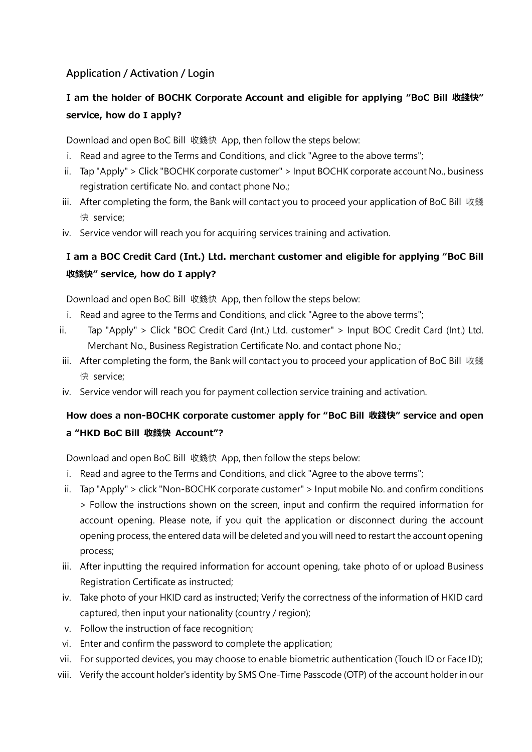# **Application / Activation / Login**

# **I am the holder of BOCHK Corporate Account and eligible for applying "BoC Bill 收錢快" service, how do I apply?**

Download and open BoC Bill 收錢快 App, then follow the steps below:

- i. Read and agree to the Terms and Conditions, and click "Agree to the above terms";
- ii. Tap "Apply" > Click "BOCHK corporate customer" > Input BOCHK corporate account No., business registration certificate No. and contact phone No.;
- iii. After completing the form, the Bank will contact you to proceed your application of BoC Bill 收錢 快 service;
- iv. Service vendor will reach you for acquiring services training and activation.

# **I am a BOC Credit Card (Int.) Ltd. merchant customer and eligible for applying "BoC Bill 收錢快" service, how do I apply?**

Download and open BoC Bill 收錢快 App, then follow the steps below:

- i. Read and agree to the Terms and Conditions, and click "Agree to the above terms";
- ii. Tap "Apply" > Click "BOC Credit Card (Int.) Ltd. customer" > Input BOC Credit Card (Int.) Ltd. Merchant No., Business Registration Certificate No. and contact phone No.;
- iii. After completing the form, the Bank will contact you to proceed your application of BoC Bill 收錢 快 service;
- iv. Service vendor will reach you for payment collection service training and activation.

# **How does a non-BOCHK corporate customer apply for "BoC Bill 收錢快" service and open a "HKD BoC Bill 收錢快 Account"?**

Download and open BoC Bill 收錢快 App, then follow the steps below:

- i. Read and agree to the Terms and Conditions, and click "Agree to the above terms";
- ii. Tap "Apply" > click "Non-BOCHK corporate customer" > Input mobile No. and confirm conditions > Follow the instructions shown on the screen, input and confirm the required information for account opening. Please note, if you quit the application or disconnect during the account opening process, the entered data will be deleted and you will need to restart the account opening process;
- iii. After inputting the required information for account opening, take photo of or upload Business Registration Certificate as instructed;
- iv. Take photo of your HKID card as instructed; Verify the correctness of the information of HKID card captured, then input your nationality (country / region);
- v. Follow the instruction of face recognition;
- vi. Enter and confirm the password to complete the application;
- vii. For supported devices, you may choose to enable biometric authentication (Touch ID or Face ID);
- viii. Verify the account holder's identity by SMS One-Time Passcode (OTP) of the account holder in our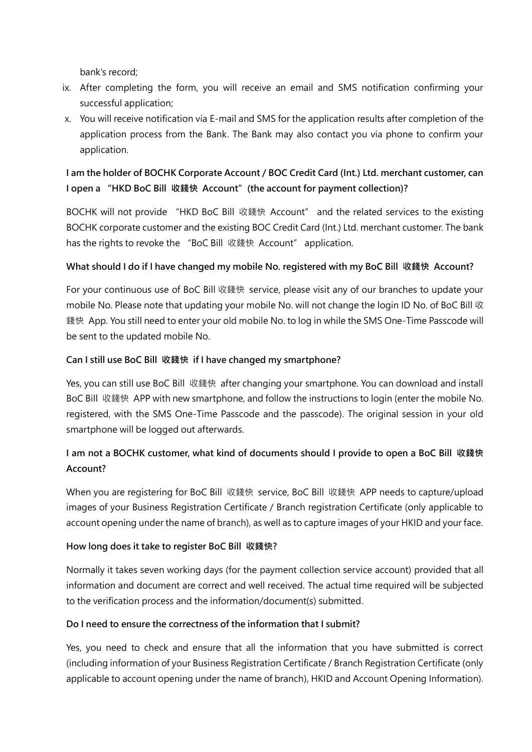bank's record;

- ix. After completing the form, you will receive an email and SMS notification confirming your successful application;
- x. You will receive notification via E-mail and SMS for the application results after completion of the application process from the Bank. The Bank may also contact you via phone to confirm your application.

# **I am the holder of BOCHK Corporate Account / BOC Credit Card (Int.) Ltd. merchant customer, can I open a "HKD BoC Bill 收錢快 Account"(the account for payment collection)?**

BOCHK will not provide "HKD BoC Bill 收錢快 Account" and the related services to the existing BOCHK corporate customer and the existing BOC Credit Card (Int.) Ltd. merchant customer. The bank has the rights to revoke the "BoC Bill 收錢快 Account" application.

### **What should I do if I have changed my mobile No. registered with my BoC Bill 收錢快 Account?**

For your continuous use of BoC Bill 收錢快 service, please visit any of our branches to update your mobile No. Please note that updating your mobile No. will not change the login ID No. of BoC Bill 收 錢快 App. You still need to enter your old mobile No. to log in while the SMS One-Time Passcode will be sent to the updated mobile No.

### **Can I still use BoC Bill 收錢快 if I have changed my smartphone?**

Yes, you can still use BoC Bill 收錢快 after changing your smartphone. You can download and install BoC Bill 收錢快 APP with new smartphone, and follow the instructions to login (enter the mobile No. registered, with the SMS One-Time Passcode and the passcode). The original session in your old smartphone will be logged out afterwards.

# **I am not a BOCHK customer, what kind of documents should I provide to open a BoC Bill 收錢快 Account?**

When you are registering for BoC Bill 收錢快 service, BoC Bill 收錢快 APP needs to capture/upload images of your Business Registration Certificate / Branch registration Certificate (only applicable to account opening under the name of branch), as well as to capture images of your HKID and your face.

### **How long does it take to register BoC Bill 收錢快?**

Normally it takes seven working days (for the payment collection service account) provided that all information and document are correct and well received. The actual time required will be subjected to the verification process and the information/document(s) submitted.

## **Do I need to ensure the correctness of the information that I submit?**

Yes, you need to check and ensure that all the information that you have submitted is correct (including information of your Business Registration Certificate / Branch Registration Certificate (only applicable to account opening under the name of branch), HKID and Account Opening Information).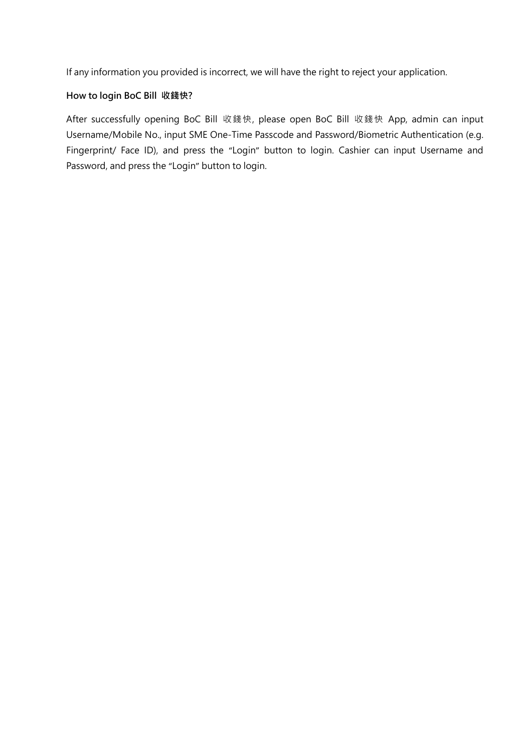If any information you provided is incorrect, we will have the right to reject your application.

### **How to login BoC Bill 收錢快?**

After successfully opening BoC Bill 收錢快, please open BoC Bill 收錢快 App, admin can input Username/Mobile No., input SME One-Time Passcode and Password/Biometric Authentication (e.g. Fingerprint/ Face ID), and press the "Login" button to login. Cashier can input Username and Password, and press the "Login" button to login.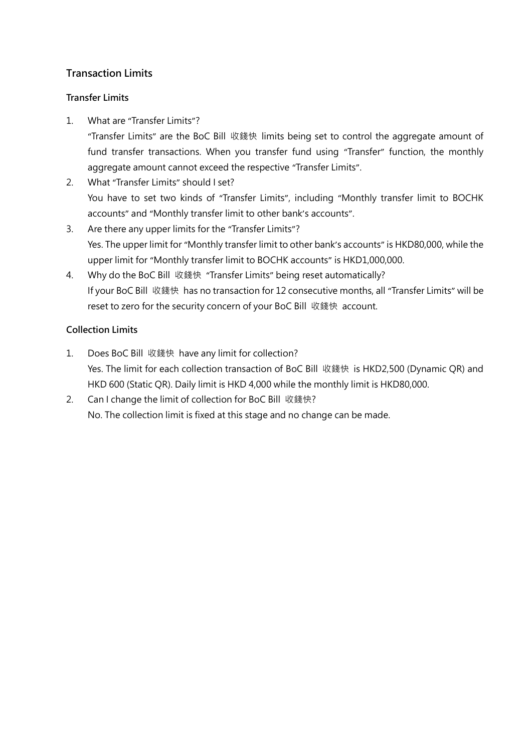# **Transaction Limits**

### **Transfer Limits**

1. What are "Transfer Limits"?

"Transfer Limits" are the BoC Bill 收錢快 limits being set to control the aggregate amount of fund transfer transactions. When you transfer fund using "Transfer" function, the monthly aggregate amount cannot exceed the respective "Transfer Limits".

- 2. What "Transfer Limits" should I set? You have to set two kinds of "Transfer Limits", including "Monthly transfer limit to BOCHK accounts" and "Monthly transfer limit to other bank's accounts".
- 3. Are there any upper limits for the "Transfer Limits"? Yes. The upper limit for "Monthly transfer limit to other bank's accounts" is HKD80,000, while the upper limit for "Monthly transfer limit to BOCHK accounts" is HKD1,000,000.
- 4. Why do the BoC Bill 收錢快 "Transfer Limits" being reset automatically? If your BoC Bill 收錢快 has no transaction for 12 consecutive months, all "Transfer Limits" will be reset to zero for the security concern of your BoC Bill 收錢快 account.

### **Collection Limits**

- 1. Does BoC Bill 收錢快 have any limit for collection? Yes. The limit for each collection transaction of BoC Bill 收錢快 is HKD2,500 (Dynamic QR) and HKD 600 (Static QR). Daily limit is HKD 4,000 while the monthly limit is HKD80,000.
- 2. Can I change the limit of collection for BoC Bill 收錢快? No. The collection limit is fixed at this stage and no change can be made.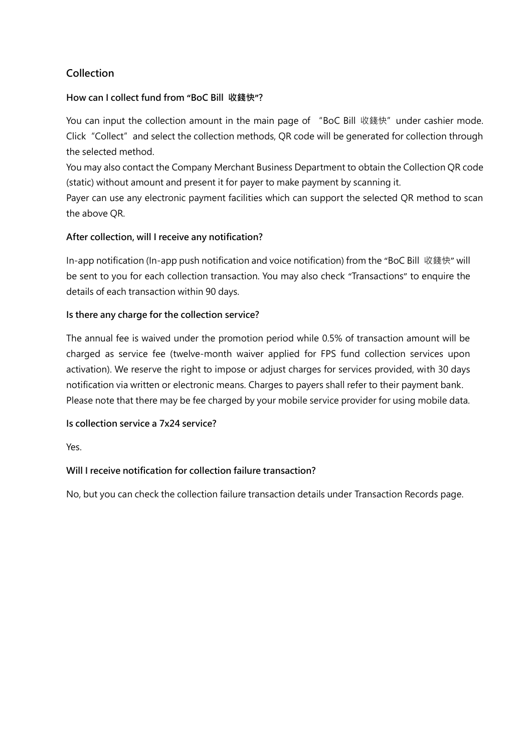# **Collection**

## **How can I collect fund from "BoC Bill 收錢快"?**

You can input the collection amount in the main page of "BoC Bill 收錢快" under cashier mode. Click "Collect" and select the collection methods, QR code will be generated for collection through the selected method.

You may also contact the Company Merchant Business Department to obtain the Collection QR code (static) without amount and present it for payer to make payment by scanning it.

Payer can use any electronic payment facilities which can support the selected QR method to scan the above QR.

### **After collection, will I receive any notification?**

In-app notification (In-app push notification and voice notification) from the "BoC Bill 收錢快" will be sent to you for each collection transaction. You may also check "Transactions" to enquire the details of each transaction within 90 days.

### **Is there any charge for the collection service?**

The annual fee is waived under the promotion period while 0.5% of transaction amount will be charged as service fee (twelve-month waiver applied for FPS fund collection services upon activation). We reserve the right to impose or adjust charges for services provided, with 30 days notification via written or electronic means. Charges to payers shall refer to their payment bank. Please note that there may be fee charged by your mobile service provider for using mobile data.

### **Is collection service a 7x24 service?**

Yes.

## **Will I receive notification for collection failure transaction?**

No, but you can check the collection failure transaction details under Transaction Records page.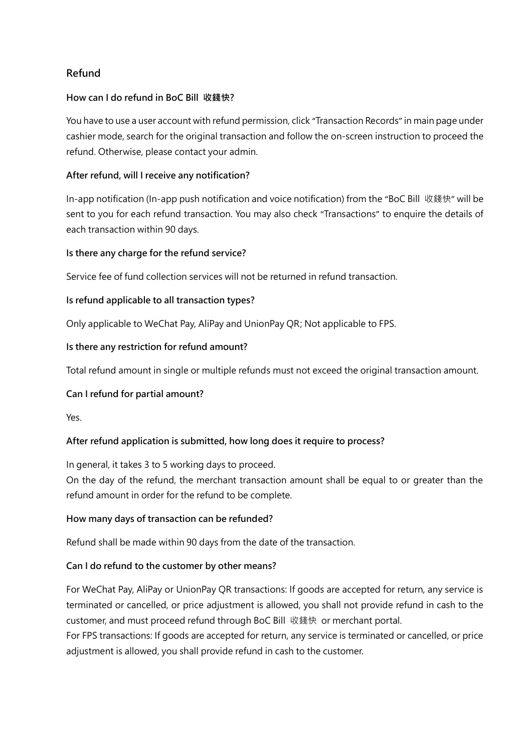# **Refund**

### **How can I do refund in BoC Bill 收錢快?**

You have to use a user account with refund permission, click "Transaction Records" in main page under cashier mode, search for the original transaction and follow the on-screen instruction to proceed the refund. Otherwise, please contact your admin.

#### **After refund, will I receive any notification?**

In-app notification (In-app push notification and voice notification) from the "BoC Bill 收錢快" will be sent to you for each refund transaction. You may also check "Transactions" to enquire the details of each transaction within 90 days.

#### **Is there any charge for the refund service?**

Service fee of fund collection services will not be returned in refund transaction.

#### **Is refund applicable to all transaction types?**

Only applicable to WeChat Pay, AliPay and UnionPay QR; Not applicable to FPS.

#### **Is there any restriction for refund amount?**

Total refund amount in single or multiple refunds must not exceed the original transaction amount.

#### **Can I refund for partial amount?**

Yes.

#### **After refund application is submitted, how long does it require to process?**

In general, it takes 3 to 5 working days to proceed.

On the day of the refund, the merchant transaction amount shall be equal to or greater than the refund amount in order for the refund to be complete.

#### **How many days of transaction can be refunded?**

Refund shall be made within 90 days from the date of the transaction.

#### **Can I do refund to the customer by other means?**

For WeChat Pay, AliPay or UnionPay QR transactions: If goods are accepted for return, any service is terminated or cancelled, or price adjustment is allowed, you shall not provide refund in cash to the customer, and must proceed refund through BoC Bill 收錢快 or merchant portal.

For FPS transactions: If goods are accepted for return, any service is terminated or cancelled, or price adjustment is allowed, you shall provide refund in cash to the customer.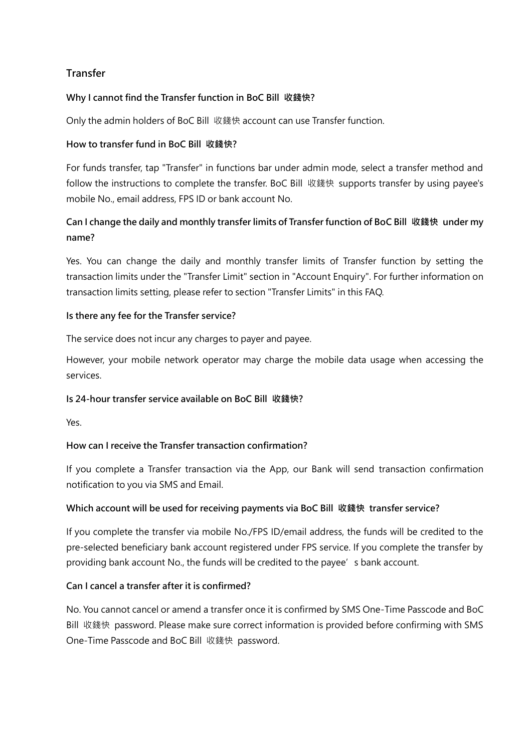# **Transfer**

### **Why I cannot find the Transfer function in BoC Bill 收錢快?**

Only the admin holders of BoC Bill 收錢快 account can use Transfer function.

### **How to transfer fund in BoC Bill 收錢快?**

For funds transfer, tap "Transfer" in functions bar under admin mode, select a transfer method and follow the instructions to complete the transfer. BoC Bill 收錢快 supports transfer by using payee's mobile No., email address, FPS ID or bank account No.

# **Can I change the daily and monthly transfer limits of Transfer function of BoC Bill 收錢快 under my name?**

Yes. You can change the daily and monthly transfer limits of Transfer function by setting the transaction limits under the "Transfer Limit" section in "Account Enquiry". For further information on transaction limits setting, please refer to section "Transfer Limits" in this FAQ.

### **Is there any fee for the Transfer service?**

The service does not incur any charges to payer and payee.

However, your mobile network operator may charge the mobile data usage when accessing the services.

### **Is 24-hour transfer service available on BoC Bill 收錢快?**

Yes.

### **How can I receive the Transfer transaction confirmation?**

If you complete a Transfer transaction via the App, our Bank will send transaction confirmation notification to you via SMS and Email.

### **Which account will be used for receiving payments via BoC Bill 收錢快 transfer service?**

If you complete the transfer via mobile No./FPS ID/email address, the funds will be credited to the pre-selected beneficiary bank account registered under FPS service. If you complete the transfer by providing bank account No., the funds will be credited to the payee's bank account.

### **Can I cancel a transfer after it is confirmed?**

No. You cannot cancel or amend a transfer once it is confirmed by SMS One-Time Passcode and BoC Bill 收錢快 password. Please make sure correct information is provided before confirming with SMS One-Time Passcode and BoC Bill 收錢快 password.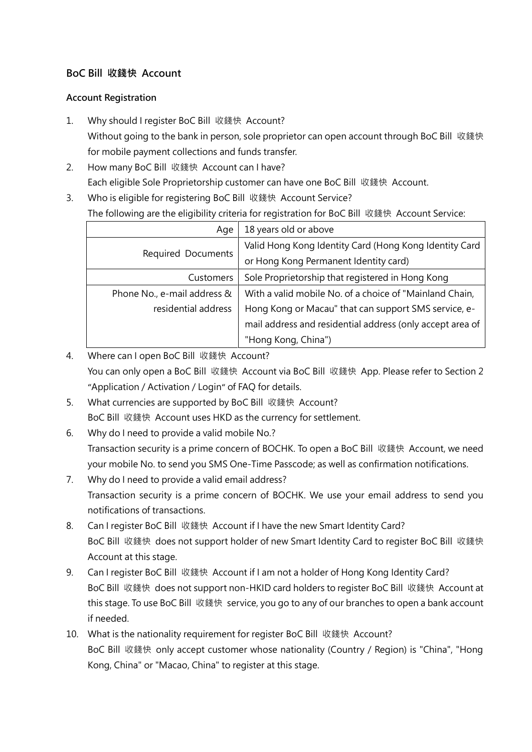# **BoC Bill 收錢快 Account**

### **Account Registration**

- 1. Why should I register BoC Bill 收錢快 Account? Without going to the bank in person, sole proprietor can open account through BoC Bill 收錢快 for mobile payment collections and funds transfer.
- 2. How many BoC Bill 收錢快 Account can I have? Each eligible Sole Proprietorship customer can have one BoC Bill 收錢快 Account.
- 3. Who is eligible for registering BoC Bill 收錢快 Account Service? The following are the eligibility criteria for registration for BoC Bill 收錢快 Account Service:

| Age                         | 18 years old or above                                     |
|-----------------------------|-----------------------------------------------------------|
|                             | Valid Hong Kong Identity Card (Hong Kong Identity Card    |
| Required Documents          | or Hong Kong Permanent Identity card)                     |
| <b>Customers</b>            | Sole Proprietorship that registered in Hong Kong          |
| Phone No., e-mail address & | With a valid mobile No. of a choice of "Mainland Chain,   |
| residential address         | Hong Kong or Macau" that can support SMS service, e-      |
|                             | mail address and residential address (only accept area of |
|                             | "Hong Kong, China")                                       |

- 4. Where can I open BoC Bill 收錢快 Account? You can only open a BoC Bill 收錢快 Account via BoC Bill 收錢快 App. Please refer to Section 2 "Application / Activation / Login" of FAQ for details.
- 5. What currencies are supported by BoC Bill 收錢快 Account? BoC Bill 收錢快 Account uses HKD as the currency for settlement.
- 6. Why do I need to provide a valid mobile No.? Transaction security is a prime concern of BOCHK. To open a BoC Bill 收錢快 Account, we need your mobile No. to send you SMS One-Time Passcode; as well as confirmation notifications.
- 7. Why do I need to provide a valid email address? Transaction security is a prime concern of BOCHK. We use your email address to send you notifications of transactions.
- 8. Can I register BoC Bill 收錢快 Account if I have the new Smart Identity Card? BoC Bill 收錢快 does not support holder of new Smart Identity Card to register BoC Bill 收錢快 Account at this stage.
- 9. Can I register BoC Bill 收錢快 Account if I am not a holder of Hong Kong Identity Card? BoC Bill 收錢快 does not support non-HKID card holders to register BoC Bill 收錢快 Account at this stage. To use BoC Bill 收錢快 service, you go to any of our branches to open a bank account if needed.
- 10. What is the nationality requirement for register BoC Bill 收錢快 Account? BoC Bill 收錢快 only accept customer whose nationality (Country / Region) is "China", "Hong Kong, China" or "Macao, China" to register at this stage.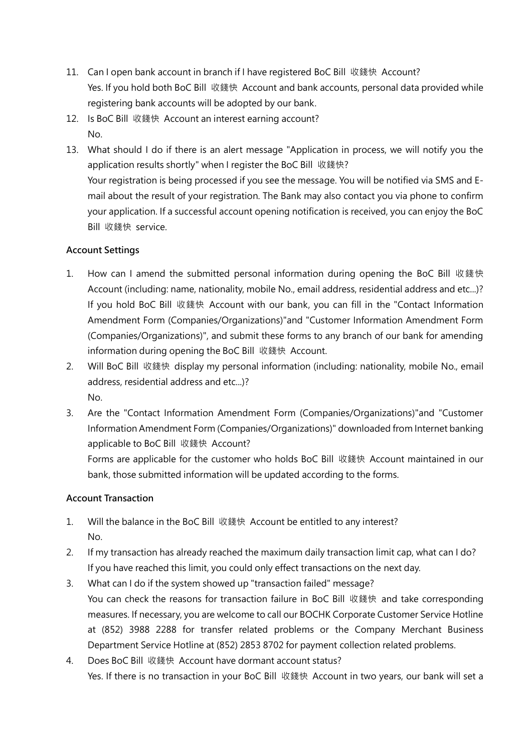- 11. Can I open bank account in branch if I have registered BoC Bill 收錢快 Account? Yes. If you hold both BoC Bill 收錢快 Account and bank accounts, personal data provided while registering bank accounts will be adopted by our bank.
- 12. Is BoC Bill 收錢快 Account an interest earning account? No.
- 13. What should I do if there is an alert message "Application in process, we will notify you the application results shortly" when I register the BoC Bill 收錢快? Your registration is being processed if you see the message. You will be notified via SMS and Email about the result of your registration. The Bank may also contact you via phone to confirm your application. If a successful account opening notification is received, you can enjoy the BoC Bill 收錢快 service.

## **Account Settings**

- 1. How can I amend the submitted personal information during opening the BoC Bill 收錢快 Account (including: name, nationality, mobile No., email address, residential address and etc...)? If you hold BoC Bill 收錢快 Account with our bank, you can fill in the "Contact Information Amendment Form (Companies/Organizations)"and "Customer Information Amendment Form (Companies/Organizations)", and submit these forms to any branch of our bank for amending information during opening the BoC Bill 收錢快 Account.
- 2. Will BoC Bill 收錢快 display my personal information (including: nationality, mobile No., email address, residential address and etc...)? No.
- 3. Are the "Contact Information Amendment Form (Companies/Organizations)"and "Customer Information Amendment Form (Companies/Organizations)" downloaded from Internet banking applicable to BoC Bill 收錢快 Account?

Forms are applicable for the customer who holds BoC Bill 收錢快 Account maintained in our bank, those submitted information will be updated according to the forms.

## **Account Transaction**

- 1. Will the balance in the BoC Bill 收錢快 Account be entitled to any interest? No.
- 2. If my transaction has already reached the maximum daily transaction limit cap, what can I do? If you have reached this limit, you could only effect transactions on the next day.
- 3. What can I do if the system showed up "transaction failed" message? You can check the reasons for transaction failure in BoC Bill 收錢快 and take corresponding measures. If necessary, you are welcome to call our BOCHK Corporate Customer Service Hotline at (852) 3988 2288 for transfer related problems or the Company Merchant Business Department Service Hotline at (852) 2853 8702 for payment collection related problems.
- 4. Does BoC Bill 收錢快 Account have dormant account status? Yes. If there is no transaction in your BoC Bill 收錢快 Account in two years, our bank will set a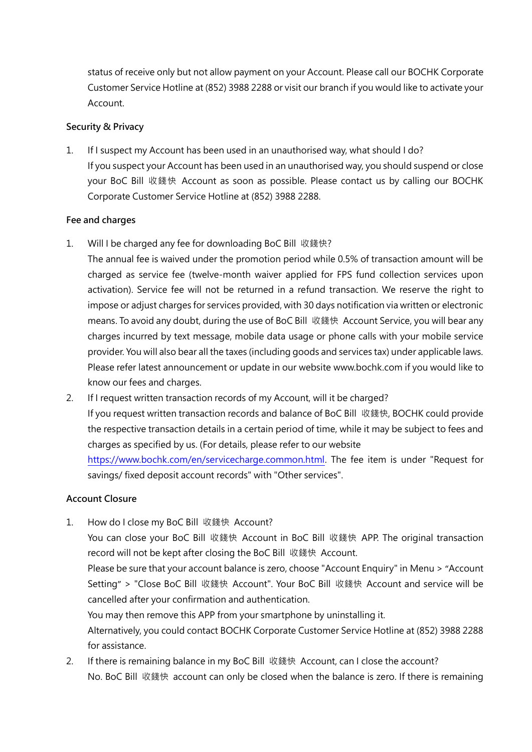status of receive only but not allow payment on your Account. Please call our BOCHK Corporate Customer Service Hotline at (852) 3988 2288 or visit our branch if you would like to activate your Account.

#### **Security & Privacy**

1. If I suspect my Account has been used in an unauthorised way, what should I do? If you suspect your Account has been used in an unauthorised way, you should suspend or close your BoC Bill 收錢快 Account as soon as possible. Please contact us by calling our BOCHK Corporate Customer Service Hotline at (852) 3988 2288.

### **Fee and charges**

1. Will I be charged any fee for downloading BoC Bill 收錢快?

The annual fee is waived under the promotion period while 0.5% of transaction amount will be charged as service fee (twelve-month waiver applied for FPS fund collection services upon activation). Service fee will not be returned in a refund transaction. We reserve the right to impose or adjust charges for services provided, with 30 days notification via written or electronic means. To avoid any doubt, during the use of BoC Bill 收錢快 Account Service, you will bear any charges incurred by text message, mobile data usage or phone calls with your mobile service provider. You will also bear all the taxes (including goods and services tax) under applicable laws. Please refer latest announcement or update in our website www.bochk.com if you would like to know our fees and charges.

2. If I request written transaction records of my Account, will it be charged? If you request written transaction records and balance of BoC Bill 收錢快, BOCHK could provide the respective transaction details in a certain period of time, while it may be subject to fees and charges as specified by us. (For details, please refer to our website https://www.bochk.com/en/servicecharge.common.html. The fee item is under "Request for savings/ fixed deposit account records" with "Other services".

### **Account Closure**

1. How do I close my BoC Bill 收錢快 Account?

You can close your BoC Bill 收錢快 Account in BoC Bill 收錢快 APP. The original transaction record will not be kept after closing the BoC Bill 收錢快 Account.

Please be sure that your account balance is zero, choose "Account Enquiry" in Menu > "Account Setting" > "Close BoC Bill 收錢快 Account". Your BoC Bill 收錢快 Account and service will be cancelled after your confirmation and authentication.

You may then remove this APP from your smartphone by uninstalling it.

Alternatively, you could contact BOCHK Corporate Customer Service Hotline at (852) 3988 2288 for assistance.

2. If there is remaining balance in my BoC Bill 收錢快 Account, can I close the account? No. BoC Bill 收錢快 account can only be closed when the balance is zero. If there is remaining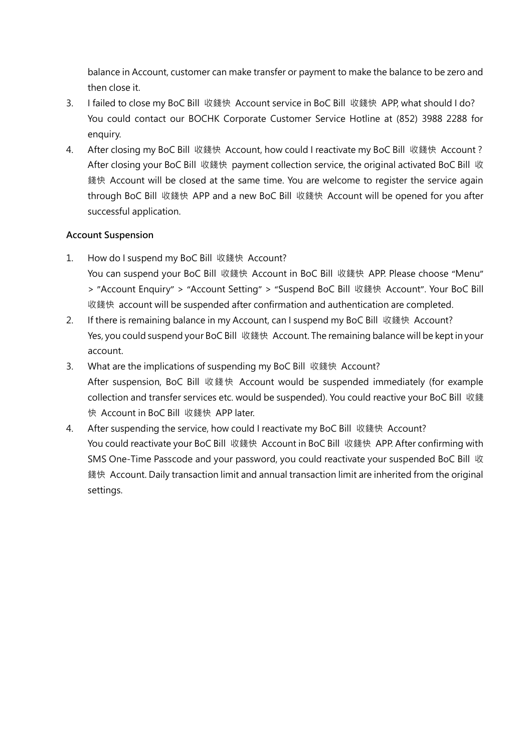balance in Account, customer can make transfer or payment to make the balance to be zero and then close it.

- 3. I failed to close my BoC Bill 收錢快 Account service in BoC Bill 收錢快 APP, what should I do? You could contact our BOCHK Corporate Customer Service Hotline at (852) 3988 2288 for enquiry.
- 4. After closing my BoC Bill 收錢快 Account, how could I reactivate my BoC Bill 收錢快 Account ? After closing your BoC Bill 收錢快 payment collection service, the original activated BoC Bill 收 錢快 Account will be closed at the same time. You are welcome to register the service again through BoC Bill 收錢快 APP and a new BoC Bill 收錢快 Account will be opened for you after successful application.

### **Account Suspension**

- 1. How do I suspend my BoC Bill 收錢快 Account? You can suspend your BoC Bill 收錢快 Account in BoC Bill 收錢快 APP. Please choose "Menu" > "Account Enquiry" > "Account Setting" > "Suspend BoC Bill 收錢快 Account". Your BoC Bill 收錢快 account will be suspended after confirmation and authentication are completed.
- 2. If there is remaining balance in my Account, can I suspend my BoC Bill 收錢快 Account? Yes, you could suspend your BoC Bill 收錢快 Account. The remaining balance will be kept in your account.
- 3. What are the implications of suspending my BoC Bill 收錢快 Account? After suspension, BoC Bill 收錢快 Account would be suspended immediately (for example collection and transfer services etc. would be suspended). You could reactive your BoC Bill 收錢 快 Account in BoC Bill 收錢快 APP later.
- 4. After suspending the service, how could I reactivate my BoC Bill 收錢快 Account? You could reactivate your BoC Bill 收錢快 Account in BoC Bill 收錢快 APP. After confirming with SMS One-Time Passcode and your password, you could reactivate your suspended BoC Bill 收 錢快 Account. Daily transaction limit and annual transaction limit are inherited from the original settings.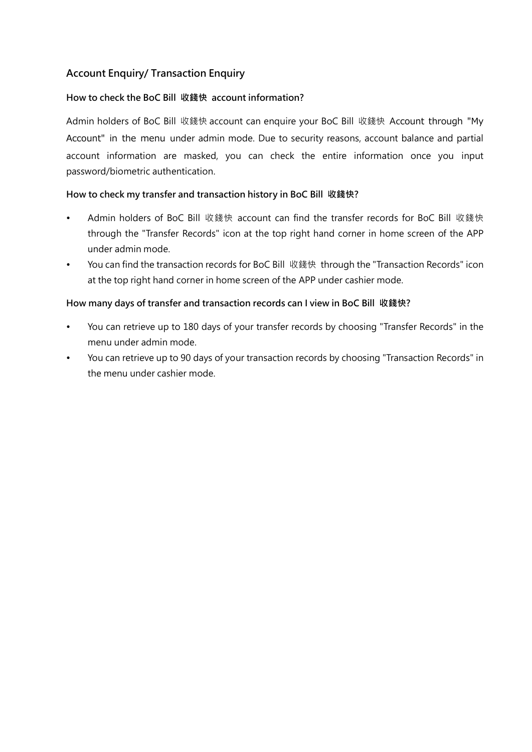# **Account Enquiry/ Transaction Enquiry**

### **How to check the BoC Bill 收錢快 account information?**

Admin holders of BoC Bill 收錢快 account can enquire your BoC Bill 收錢快 Account through "My Account" in the menu under admin mode. Due to security reasons, account balance and partial account information are masked, you can check the entire information once you input password/biometric authentication.

### **How to check my transfer and transaction history in BoC Bill 收錢快?**

- Admin holders of BoC Bill 收錢快 account can find the transfer records for BoC Bill 收錢快 through the "Transfer Records" icon at the top right hand corner in home screen of the APP under admin mode.
- You can find the transaction records for BoC Bill 收錢快 through the "Transaction Records" icon at the top right hand corner in home screen of the APP under cashier mode.

#### **How many days of transfer and transaction records can I view in BoC Bill 收錢快?**

- You can retrieve up to 180 days of your transfer records by choosing "Transfer Records" in the menu under admin mode.
- You can retrieve up to 90 days of your transaction records by choosing "Transaction Records" in the menu under cashier mode.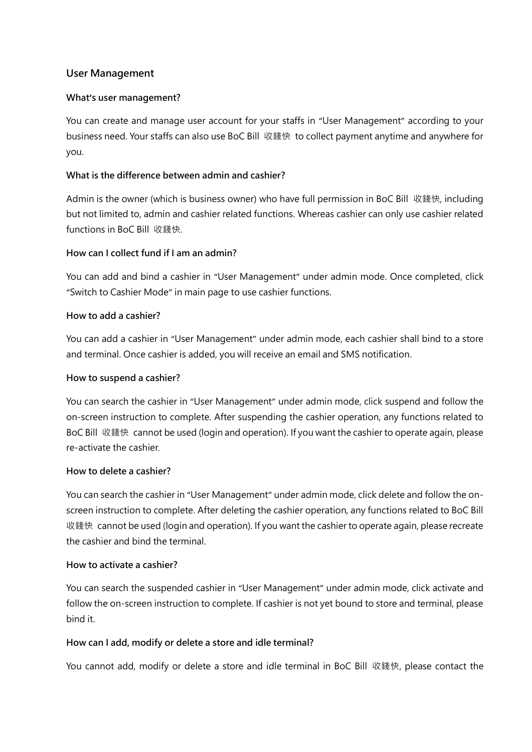## **User Management**

### **What's user management?**

You can create and manage user account for your staffs in "User Management" according to your business need. Your staffs can also use BoC Bill 收錢快 to collect payment anytime and anywhere for you.

## **What is the difference between admin and cashier?**

Admin is the owner (which is business owner) who have full permission in BoC Bill 收錢快, including but not limited to, admin and cashier related functions. Whereas cashier can only use cashier related functions in BoC Bill 收錢快.

### **How can I collect fund if I am an admin?**

You can add and bind a cashier in "User Management" under admin mode. Once completed, click "Switch to Cashier Mode" in main page to use cashier functions.

### **How to add a cashier?**

You can add a cashier in "User Management" under admin mode, each cashier shall bind to a store and terminal. Once cashier is added, you will receive an email and SMS notification.

### **How to suspend a cashier?**

You can search the cashier in "User Management" under admin mode, click suspend and follow the on-screen instruction to complete. After suspending the cashier operation, any functions related to BoC Bill 收錢快 cannot be used (login and operation). If you want the cashier to operate again, please re-activate the cashier.

### **How to delete a cashier?**

You can search the cashier in "User Management" under admin mode, click delete and follow the onscreen instruction to complete. After deleting the cashier operation, any functions related to BoC Bill 收錢快 cannot be used (login and operation). If you want the cashier to operate again, please recreate the cashier and bind the terminal.

### **How to activate a cashier?**

You can search the suspended cashier in "User Management" under admin mode, click activate and follow the on-screen instruction to complete. If cashier is not yet bound to store and terminal, please bind it.

### **How can I add, modify or delete a store and idle terminal?**

You cannot add, modify or delete a store and idle terminal in BoC Bill 收錢快, please contact the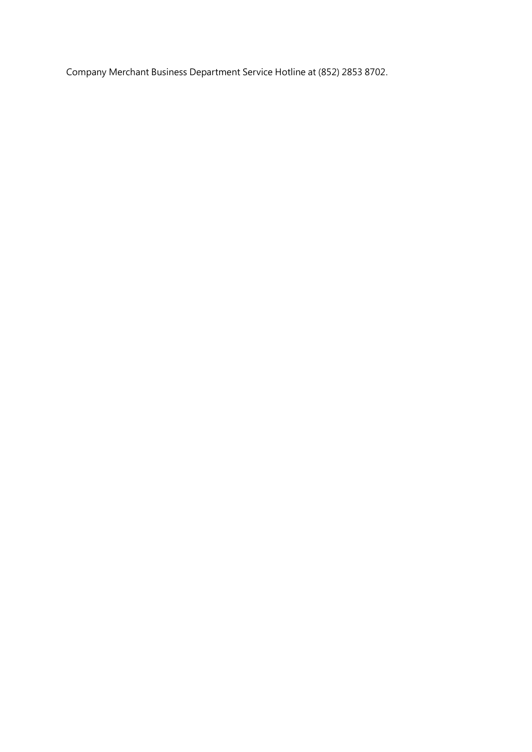Company Merchant Business Department Service Hotline at (852) 2853 8702.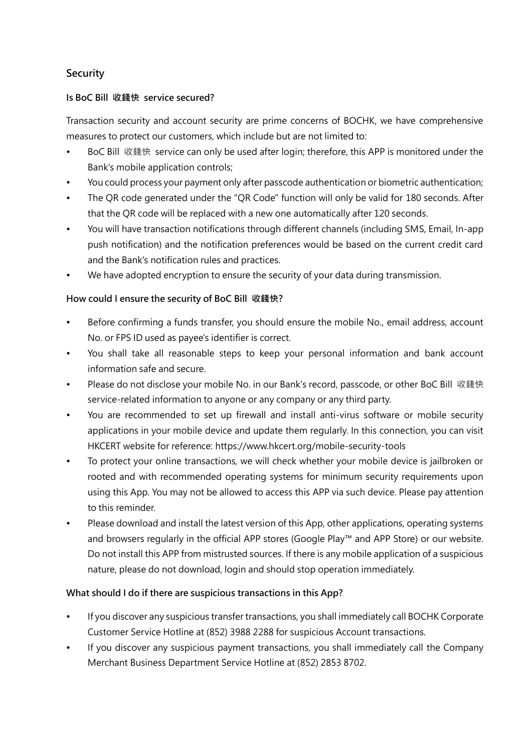# **Security**

## **Is BoC Bill 收錢快 service secured?**

Transaction security and account security are prime concerns of BOCHK, we have comprehensive measures to protect our customers, which include but are not limited to:

- BoC Bill 收錢快 service can only be used after login; therefore, this APP is monitored under the Bank's mobile application controls;
- You could process your payment only after passcode authentication or biometric authentication;
- The QR code generated under the "QR Code" function will only be valid for 180 seconds. After that the QR code will be replaced with a new one automatically after 120 seconds.
- You will have transaction notifications through different channels (including SMS, Email, In-app push notification) and the notification preferences would be based on the current credit card and the Bank's notification rules and practices.
- We have adopted encryption to ensure the security of your data during transmission.

## **How could I ensure the security of BoC Bill 收錢快?**

- Before confirming a funds transfer, you should ensure the mobile No., email address, account No. or FPS ID used as payee's identifier is correct.
- You shall take all reasonable steps to keep your personal information and bank account information safe and secure.
- Please do not disclose your mobile No. in our Bank's record, passcode, or other BoC Bill 收錢快 service-related information to anyone or any company or any third party.
- You are recommended to set up firewall and install anti-virus software or mobile security applications in your mobile device and update them regularly. In this connection, you can visit HKCERT website for reference:<https://www.hkcert.org/mobile-security-tools>
- To protect your online transactions, we will check whether your mobile device is jailbroken or rooted and with recommended operating systems for minimum security requirements upon using this App. You may not be allowed to access this APP via such device. Please pay attention to this reminder.
- Please download and install the latest version of this App, other applications, operating systems and browsers regularly in the official APP stores (Google Play™ and APP Store) or our website. Do not install this APP from mistrusted sources. If there is any mobile application of a suspicious nature, please do not download, login and should stop operation immediately.

## **What should I do if there are suspicious transactions in this App?**

- If you discover any suspicious transfer transactions, you shall immediately call BOCHK Corporate Customer Service Hotline at (852) 3988 2288 for suspicious Account transactions.
- If you discover any suspicious payment transactions, you shall immediately call the Company Merchant Business Department Service Hotline at (852) 2853 8702.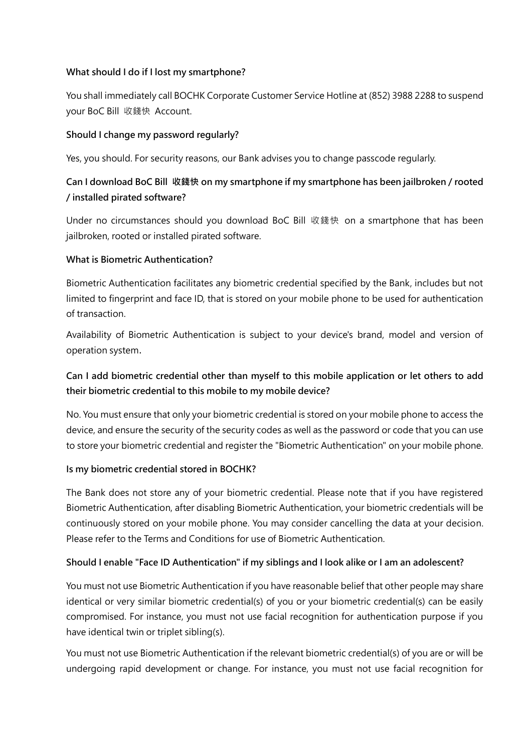#### **What should I do if I lost my smartphone?**

You shall immediately call BOCHK Corporate Customer Service Hotline at (852) 3988 2288 to suspend your BoC Bill 收錢快 Account.

#### **Should I change my password regularly?**

Yes, you should. For security reasons, our Bank advises you to change passcode regularly.

# **Can I download BoC Bill 收錢快 on my smartphone if my smartphone has been jailbroken / rooted / installed pirated software?**

Under no circumstances should you download BoC Bill 收錢快 on a smartphone that has been jailbroken, rooted or installed pirated software.

### **What is Biometric Authentication?**

Biometric Authentication facilitates any biometric credential specified by the Bank, includes but not limited to fingerprint and face ID, that is stored on your mobile phone to be used for authentication of transaction.

Availability of Biometric Authentication is subject to your device's brand, model and version of operation system.

# **Can I add biometric credential other than myself to this mobile application or let others to add their biometric credential to this mobile to my mobile device?**

No. You must ensure that only your biometric credential is stored on your mobile phone to access the device, and ensure the security of the security codes as well as the password or code that you can use to store your biometric credential and register the "Biometric Authentication" on your mobile phone.

### **Is my biometric credential stored in BOCHK?**

The Bank does not store any of your biometric credential. Please note that if you have registered Biometric Authentication, after disabling Biometric Authentication, your biometric credentials will be continuously stored on your mobile phone. You may consider cancelling the data at your decision. Please refer to the Terms and Conditions for use of Biometric Authentication.

### **Should I enable "Face ID Authentication" if my siblings and I look alike or I am an adolescent?**

You must not use Biometric Authentication if you have reasonable belief that other people may share identical or very similar biometric credential(s) of you or your biometric credential(s) can be easily compromised. For instance, you must not use facial recognition for authentication purpose if you have identical twin or triplet sibling(s).

You must not use Biometric Authentication if the relevant biometric credential(s) of you are or will be undergoing rapid development or change. For instance, you must not use facial recognition for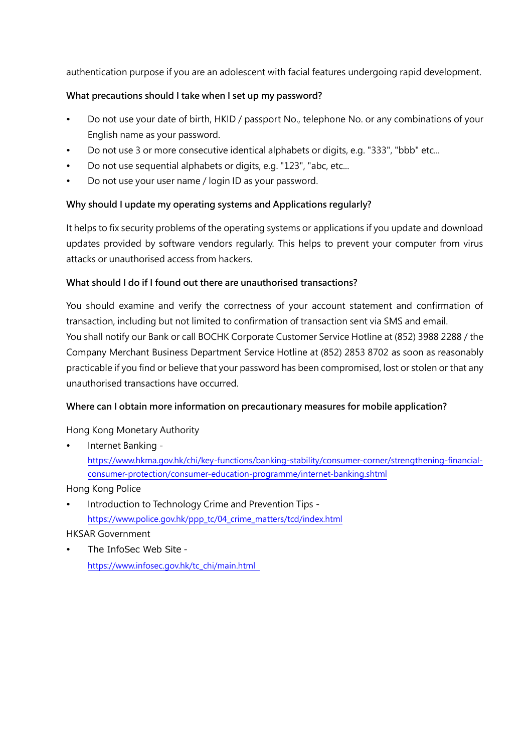authentication purpose if you are an adolescent with facial features undergoing rapid development.

### **What precautions should I take when I set up my password?**

- Do not use your date of birth, HKID / passport No., telephone No. or any combinations of your English name as your password.
- Do not use 3 or more consecutive identical alphabets or digits, e.g. "333", "bbb" etc...
- Do not use sequential alphabets or digits, e.g. "123", "abc, etc...
- Do not use your user name / login ID as your password.

### **Why should I update my operating systems and Applications regularly?**

It helps to fix security problems of the operating systems or applications if you update and download updates provided by software vendors regularly. This helps to prevent your computer from virus attacks or unauthorised access from hackers.

#### **What should I do if I found out there are unauthorised transactions?**

You should examine and verify the correctness of your account statement and confirmation of transaction, including but not limited to confirmation of transaction sent via SMS and email. You shall notify our Bank or call BOCHK Corporate Customer Service Hotline at (852) 3988 2288 / the Company Merchant Business Department Service Hotline at (852) 2853 8702 as soon as reasonably practicable if you find or believe that your password has been compromised, lost or stolen or that any unauthorised transactions have occurred.

### **Where can I obtain more information on precautionary measures for mobile application?**

Hong Kong Monetary Authority

 Internet Banking https://www.hkma.gov.hk/chi/key-functions/banking-stability/consumer-corner/strengthening-financialconsumer-protection/consumer-education-programme/internet-banking.shtml

Hong Kong Police

 Introduction to Technology Crime and Prevention Tips https://www.police.gov.hk/ppp\_tc/04\_crime\_matters/tcd/index.html

### HKSAR Government

 The InfoSec Web Site https://www.infosec.gov.hk/tc\_chi/main.html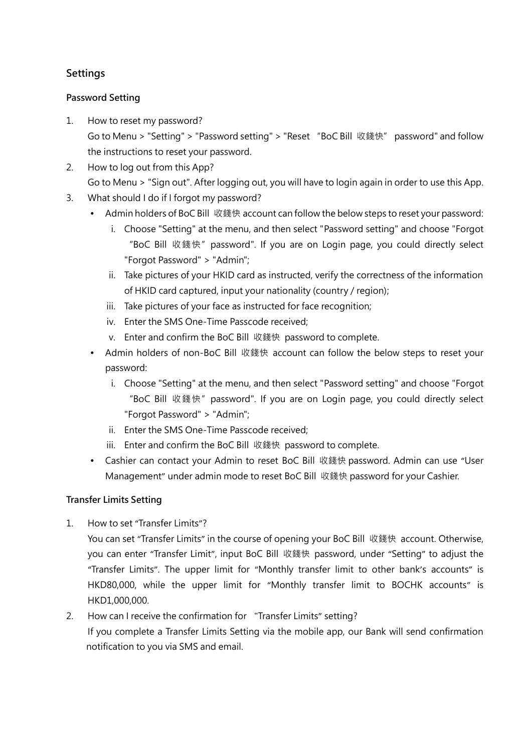# **Settings**

### **Password Setting**

- 1. How to reset my password? Go to Menu > "Setting" > "Password setting" > "Reset "BoC Bill 收錢快" password" and follow the instructions to reset your password.
- 2. How to log out from this App? Go to Menu > "Sign out". After logging out, you will have to login again in order to use this App.
- 3. What should I do if I forgot my password?
	- Admin holders of BoC Bill 收錢快 account can follow the below steps to reset your password:
		- i. Choose "Setting" at the menu, and then select "Password setting" and choose "Forgot "BoC Bill 收錢快"password". If you are on Login page, you could directly select "Forgot Password" > "Admin";
		- ii. Take pictures of your HKID card as instructed, verify the correctness of the information of HKID card captured, input your nationality (country / region);
		- iii. Take pictures of your face as instructed for face recognition;
		- iv. Enter the SMS One-Time Passcode received;
		- v. Enter and confirm the BoC Bill 收錢快 password to complete.
	- Admin holders of non-BoC Bill 收錢快 account can follow the below steps to reset your password:
		- i. Choose "Setting" at the menu, and then select "Password setting" and choose "Forgot "BoC Bill 收錢快"password". If you are on Login page, you could directly select "Forgot Password" > "Admin";
		- ii. Enter the SMS One-Time Passcode received;
		- iii. Enter and confirm the BoC Bill 收錢快 password to complete.
	- Cashier can contact your Admin to reset BoC Bill 收錢快 password. Admin can use "User Management" under admin mode to reset BoC Bill 收錢快 password for your Cashier.

## **Transfer Limits Setting**

1. How to set "Transfer Limits"?

You can set "Transfer Limits" in the course of opening your BoC Bill 收錢快 account. Otherwise, you can enter "Transfer Limit", input BoC Bill 收錢快 password, under "Setting" to adjust the "Transfer Limits". The upper limit for "Monthly transfer limit to other bank's accounts" is HKD80,000, while the upper limit for "Monthly transfer limit to BOCHK accounts" is HKD1,000,000.

2. How can I receive the confirmation for "Transfer Limits" setting?

If you complete a Transfer Limits Setting via the mobile app, our Bank will send confirmation notification to you via SMS and email.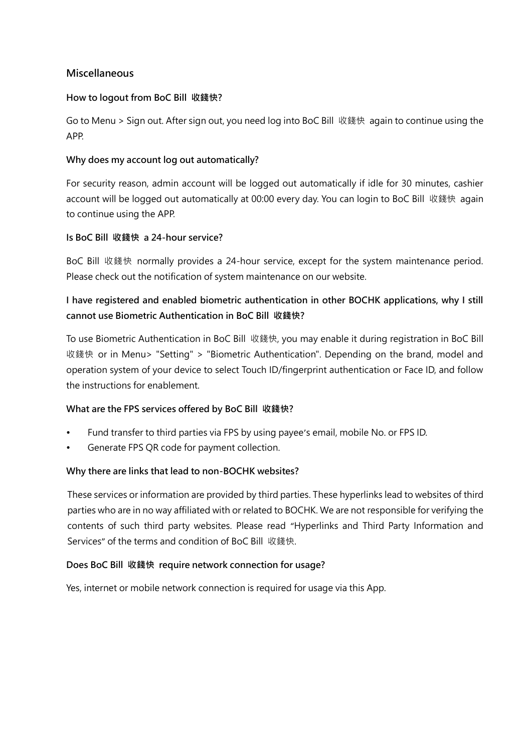### **Miscellaneous**

#### **How to logout from BoC Bill 收錢快?**

Go to Menu > Sign out. After sign out, you need log into BoC Bill 收錢快 again to continue using the APP.

### **Why does my account log out automatically?**

For security reason, admin account will be logged out automatically if idle for 30 minutes, cashier account will be logged out automatically at 00:00 every day. You can login to BoC Bill 收錢快 again to continue using the APP.

#### **Is BoC Bill 收錢快 a 24-hour service?**

BoC Bill 收錢快 normally provides a 24-hour service, except for the system maintenance period. Please check out the notification of system maintenance on our website.

# **I have registered and enabled biometric authentication in other BOCHK applications, why I still cannot use Biometric Authentication in BoC Bill 收錢快?**

To use Biometric Authentication in BoC Bill 收錢快, you may enable it during registration in BoC Bill 收錢快 or in Menu> "Setting" > "Biometric Authentication". Depending on the brand, model and operation system of your device to select Touch ID/fingerprint authentication or Face ID, and follow the instructions for enablement.

### **What are the FPS services offered by BoC Bill 收錢快?**

- Fund transfer to third parties via FPS by using payee's email, mobile No. or FPS ID.
- Generate FPS QR code for payment collection.

#### **Why there are links that lead to non-BOCHK websites?**

These services or information are provided by third parties. These hyperlinks lead to websites of third parties who are in no way affiliated with or related to BOCHK. We are not responsible for verifying the contents of such third party websites. Please read "Hyperlinks and Third Party Information and Services" of the terms and condition of BoC Bill 收錢快.

#### **Does BoC Bill 收錢快 require network connection for usage?**

Yes, internet or mobile network connection is required for usage via this App.